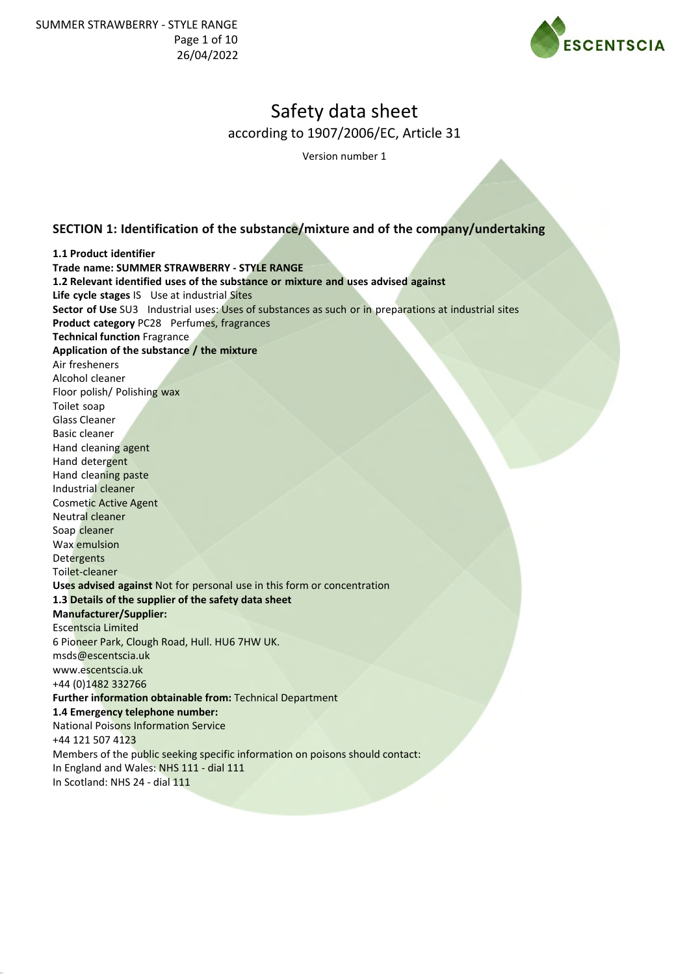

Version number 1

# **SECTION 1: Identification of the substance/mixture and of the company/undertaking**

**1.1 Product identifier Trade name: SUMMER STRAWBERRY - STYLE RANGE 1.2 Relevant identified uses of the substance or mixture and uses advised against Life cycle stages** IS Use at industrial Sites **Sector of Use** SU3 Industrial uses: Uses of substances as such or in preparations at industrial sites **Product category** PC28 Perfumes, fragrances **Technical function** Fragrance **Application of the substance / the mixture** Air fresheners Alcohol cleaner Floor polish/ Polishing wax Toilet soap Glass Cleaner Basic cleaner Hand cleaning agent Hand detergent Hand cleaning paste Industrial cleaner Cosmetic Active Agent Neutral cleaner Soap cleaner Wax emulsion Detergents Toilet-cleaner **Uses advised against** Not for personal use in this form or concentration **1.3 Details of the supplier of the safety data sheet Manufacturer/Supplier:** Escentscia Limited 6 Pioneer Park, Clough Road, Hull. HU6 7HW UK. msds@escentscia.uk www.escentscia.uk +44 (0)1482 332766 **Further information obtainable from:** Technical Department **1.4 Emergency telephone number:** National Poisons Information Service +44 121 507 4123 Members of the public seeking specific information on poisons should contact: In England and Wales: NHS 111 - dial 111 In Scotland: NHS 24 - dial 111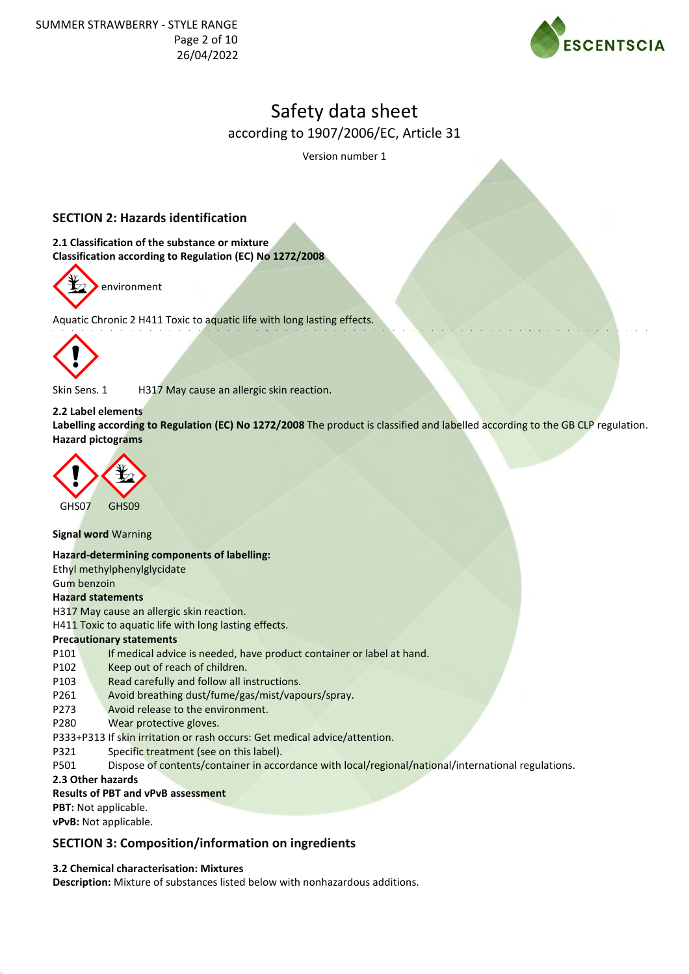

Version number 1

# **SECTION 2: Hazards identification**

**2.1 Classification of the substance or mixture Classification according to Regulation (EC) No 1272/2008**



Aquatic Chronic 2 H411 Toxic to aquatic life with long lasting effects.



Skin Sens. 1 H317 May cause an allergic skin reaction.

## **2.2 Label elements**

**Labelling according to Regulation (EC) No 1272/2008** The product is classified and labelled according to the GB CLP regulation. **Hazard pictograms**



**Signal word** Warning

**Hazard-determining components of labelling:**

Ethyl methylphenylglycidate

Gum benzoin

### **Hazard statements**

H317 May cause an allergic skin reaction.

H411 Toxic to aquatic life with long lasting effects.

### **Precautionary statements**

- P101 If medical advice is needed, have product container or label at hand.
- P102 Keep out of reach of children.
- P103 Read carefully and follow all instructions.
- P261 Avoid breathing dust/fume/gas/mist/vapours/spray.
- P273 Avoid release to the environment.
- P280 Wear protective gloves.
- P333+P313 If skin irritation or rash occurs: Get medical advice/attention.
- P321 Specific treatment (see on this label).
- P501 Dispose of contents/container in accordance with local/regional/national/international regulations.

## **2.3 Other hazards**

### **Results of PBT and vPvB assessment**

**PBT:** Not applicable.

**vPvB:** Not applicable.

# **SECTION 3: Composition/information on ingredients**

### **3.2 Chemical characterisation: Mixtures**

**Description:** Mixture of substances listed below with nonhazardous additions.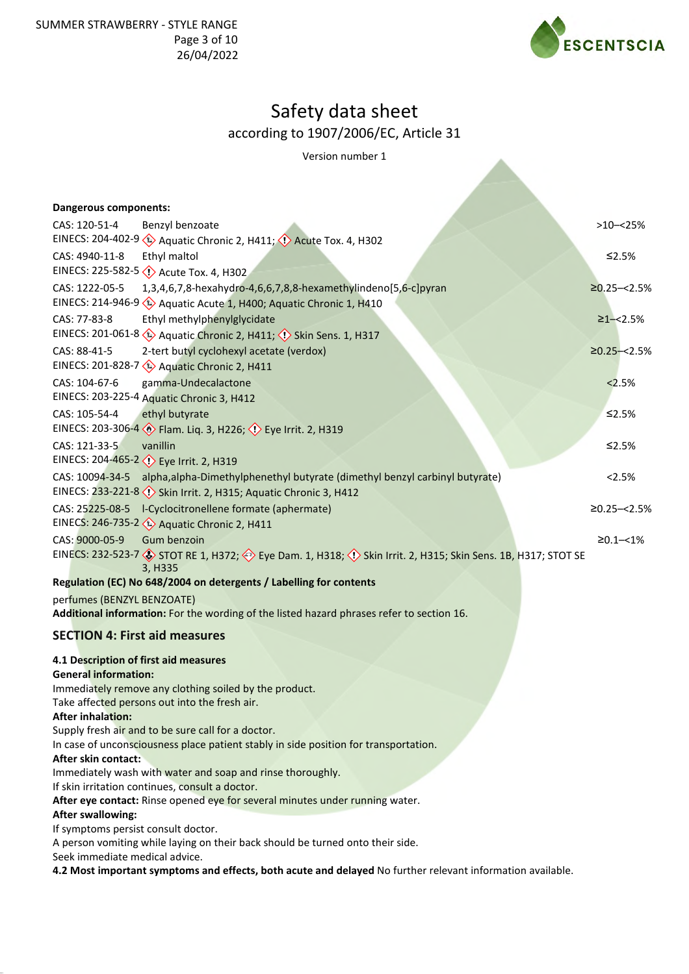

Version number 1

| <b>Dangerous components:</b>          |                                                                                                                                            |                  |  |  |
|---------------------------------------|--------------------------------------------------------------------------------------------------------------------------------------------|------------------|--|--|
| CAS: 120-51-4                         | Benzyl benzoate                                                                                                                            | $>10 - 25%$      |  |  |
|                                       | EINECS: 204-402-9 (1) Aquatic Chronic 2, H411; (1) Acute Tox. 4, H302                                                                      |                  |  |  |
| CAS: 4940-11-8                        | Ethyl maltol                                                                                                                               | ≤2.5%            |  |  |
|                                       | EINECS: 225-582-5 <>> Acute Tox. 4, H302                                                                                                   |                  |  |  |
| CAS: 1222-05-5                        | 1,3,4,6,7,8-hexahydro-4,6,6,7,8,8-hexamethylindeno[5,6-c]pyran                                                                             | $≥0.25 - < 2.5%$ |  |  |
|                                       | EINECS: 214-946-9 $\leftrightarrow$ Aquatic Acute 1, H400; Aquatic Chronic 1, H410                                                         |                  |  |  |
| CAS: 77-83-8                          | Ethyl methylphenylglycidate                                                                                                                | $\geq$ 1-<2.5%   |  |  |
|                                       | EINECS: 201-061-8 (2) Aquatic Chronic 2, H411; (2) Skin Sens. 1, H317                                                                      |                  |  |  |
| CAS: 88-41-5                          | 2-tert butyl cyclohexyl acetate (verdox)                                                                                                   | $≥0.25 - < 2.5%$ |  |  |
|                                       | EINECS: 201-828-7 2 Aquatic Chronic 2, H411                                                                                                |                  |  |  |
| CAS: 104-67-6                         | gamma-Undecalactone                                                                                                                        | 2.5%             |  |  |
|                                       | EINECS: 203-225-4 Aquatic Chronic 3, H412                                                                                                  |                  |  |  |
| CAS: 105-54-4                         | ethyl butyrate                                                                                                                             | ≤2.5%            |  |  |
|                                       | EINECS: 203-306-4 > Flam. Liq. 3, H226; < Eye Irrit. 2, H319                                                                               |                  |  |  |
| CAS: 121-33-5                         | vanillin                                                                                                                                   | $≤2.5%$          |  |  |
|                                       | EINECS: 204-465-2 <>> Eye Irrit. 2, H319                                                                                                   |                  |  |  |
| CAS: 10094-34-5                       | alpha, alpha-Dimethylphenethyl butyrate (dimethyl benzyl carbinyl butyrate)                                                                | 2.5%             |  |  |
|                                       | EINECS: 233-221-8 (1) Skin Irrit. 2, H315; Aquatic Chronic 3, H412                                                                         |                  |  |  |
|                                       |                                                                                                                                            | $≥0.25 - < 2.5%$ |  |  |
|                                       | EINECS: 246-735-2 < <a> <a> Aquatic Chronic 2, H411</a></a>                                                                                |                  |  |  |
| CAS: 9000-05-9                        | Gum benzoin                                                                                                                                | $≥0.1 - < 1\%$   |  |  |
|                                       | EINECS: 232-523-7 STOT RE 1, H372; Seye Dam. 1, H318; Oskin Irrit. 2, H315; Skin Sens. 1B, H317; STOT SE<br>3, H335                        |                  |  |  |
|                                       | Regulation (EC) No 648/2004 on detergents / Labelling for contents                                                                         |                  |  |  |
| perfumes (BENZYL BENZOATE)            |                                                                                                                                            |                  |  |  |
|                                       | Additional information: For the wording of the listed hazard phrases refer to section 16.                                                  |                  |  |  |
| <b>SECTION 4: First aid measures</b>  |                                                                                                                                            |                  |  |  |
|                                       |                                                                                                                                            |                  |  |  |
| 4.1 Description of first aid measures |                                                                                                                                            |                  |  |  |
| <b>General information:</b>           |                                                                                                                                            |                  |  |  |
|                                       | Immediately remove any clothing soiled by the product.                                                                                     |                  |  |  |
|                                       | Take affected persons out into the fresh air.                                                                                              |                  |  |  |
| <b>After inhalation:</b>              |                                                                                                                                            |                  |  |  |
|                                       | Supply fresh air and to be sure call for a doctor.<br>In case of unconsciousness place patient stably in side position for transportation. |                  |  |  |
| After skin contact:                   |                                                                                                                                            |                  |  |  |
|                                       | Immediately wash with water and soap and rinse thoroughly.                                                                                 |                  |  |  |
|                                       | If skin irritation continues, consult a doctor.                                                                                            |                  |  |  |
|                                       | After eye contact: Rinse opened eye for several minutes under running water.                                                               |                  |  |  |
| <b>After swallowing:</b>              |                                                                                                                                            |                  |  |  |
| If symptoms persist consult doctor.   |                                                                                                                                            |                  |  |  |
|                                       | A person vomiting while laying on their back should be turned onto their side.<br>Seek immediate medical advice.                           |                  |  |  |
|                                       |                                                                                                                                            |                  |  |  |
|                                       | 4.2 Most important symptoms and effects, both acute and delayed No further relevant information available.                                 |                  |  |  |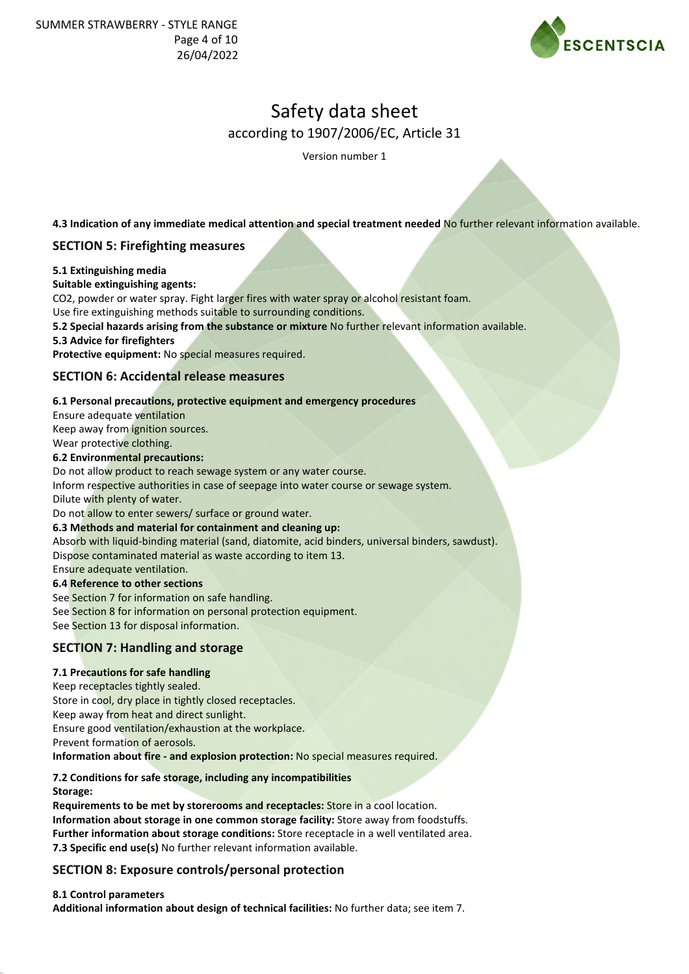

Version number 1

**4.3 Indication of any immediate medical attention and special treatment needed** No further relevant information available.

# **SECTION 5: Firefighting measures**

### **5.1 Extinguishing media**

### **Suitable extinguishing agents:**

CO2, powder or water spray. Fight larger fires with water spray or alcohol resistant foam.

Use fire extinguishing methods suitable to surrounding conditions.

**5.2 Special hazards arising from the substance or mixture** No further relevant information available.

### **5.3 Advice for firefighters**

**Protective equipment:** No special measures required.

## **SECTION 6: Accidental release measures**

### **6.1 Personal precautions, protective equipment and emergency procedures**

Ensure adequate ventilation

Keep away from ignition sources.

Wear protective clothing.

### **6.2 Environmental precautions:**

Do not allow product to reach sewage system or any water course.

Inform respective authorities in case of seepage into water course or sewage system. Dilute with plenty of water.

Do not allow to enter sewers/ surface or ground water.

## **6.3 Methods and material for containment and cleaning up:** Absorb with liquid-binding material (sand, diatomite, acid binders, universal binders, sawdust).

Dispose contaminated material as waste according to item 13.

### Ensure adequate ventilation.

### **6.4 Reference to other sections**

See Section 7 for information on safe handling. See Section 8 for information on personal protection equipment. See Section 13 for disposal information.

# **SECTION 7: Handling and storage**

## **7.1 Precautions for safe handling**

Keep receptacles tightly sealed. Store in cool, dry place in tightly closed receptacles. Keep away from heat and direct sunlight. Ensure good ventilation/exhaustion at the workplace. Prevent formation of aerosols.

**Information about fire - and explosion protection:** No special measures required.

#### **7.2 Conditions for safe storage, including any incompatibilities Storage:**

**Requirements to be met by storerooms and receptacles:** Store in a cool location. **Information about storage in one common storage facility:** Store away from foodstuffs. **Further information about storage conditions:** Store receptacle in a well ventilated area. **7.3 Specific end use(s)** No further relevant information available.

# **SECTION 8: Exposure controls/personal protection**

## **8.1 Control parameters**

**Additional information about design of technical facilities:** No further data; see item 7.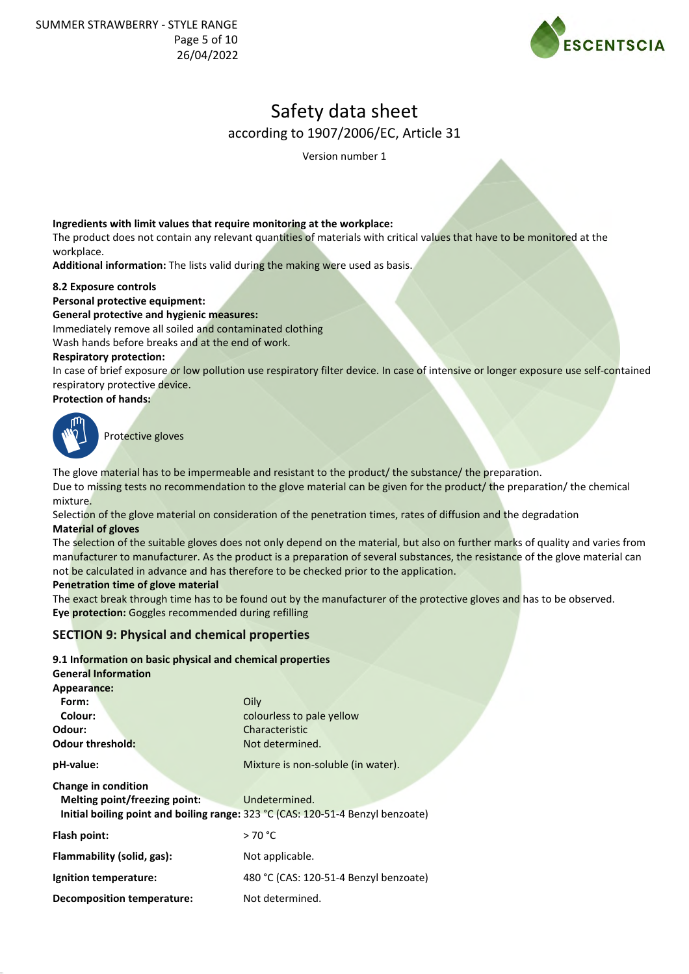

Version number 1

### **Ingredients with limit values that require monitoring at the workplace:**

The product does not contain any relevant quantities of materials with critical values that have to be monitored at the workplace.

**Additional information:** The lists valid during the making were used as basis.

### **8.2 Exposure controls**

## **Personal protective equipment:**

**General protective and hygienic measures:**

Immediately remove all soiled and contaminated clothing

Wash hands before breaks and at the end of work.

### **Respiratory protection:**

In case of brief exposure or low pollution use respiratory filter device. In case of intensive or longer exposure use self-contained respiratory protective device.

### **Protection of hands:**



Protective gloves

The glove material has to be impermeable and resistant to the product/ the substance/ the preparation.

Due to missing tests no recommendation to the glove material can be given for the product/ the preparation/ the chemical mixture.

Selection of the glove material on consideration of the penetration times, rates of diffusion and the degradation **Material of gloves**

The selection of the suitable gloves does not only depend on the material, but also on further marks of quality and varies from manufacturer to manufacturer. As the product is a preparation of several substances, the resistance of the glove material can not be calculated in advance and has therefore to be checked prior to the application.

### **Penetration time of glove material**

The exact break through time has to be found out by the manufacturer of the protective gloves and has to be observed. **Eye protection:** Goggles recommended during refilling

## **SECTION 9: Physical and chemical properties**

**9.1 Information on basic physical and chemical properties**

| <b>General Information</b>        |                                                                                 |
|-----------------------------------|---------------------------------------------------------------------------------|
| Appearance:                       |                                                                                 |
| Form:                             | Oily                                                                            |
| Colour:                           | colourless to pale yellow                                                       |
| Odour:                            | Characteristic                                                                  |
| <b>Odour threshold:</b>           | Not determined.                                                                 |
| pH-value:                         | Mixture is non-soluble (in water).                                              |
| Change in condition               |                                                                                 |
| Melting point/freezing point:     | Undetermined.                                                                   |
|                                   | Initial boiling point and boiling range: 323 °C (CAS: 120-51-4 Benzyl benzoate) |
| Flash point:                      | >70 °C                                                                          |
| Flammability (solid, gas):        | Not applicable.                                                                 |
| Ignition temperature:             | 480 °C (CAS: 120-51-4 Benzyl benzoate)                                          |
| <b>Decomposition temperature:</b> | Not determined.                                                                 |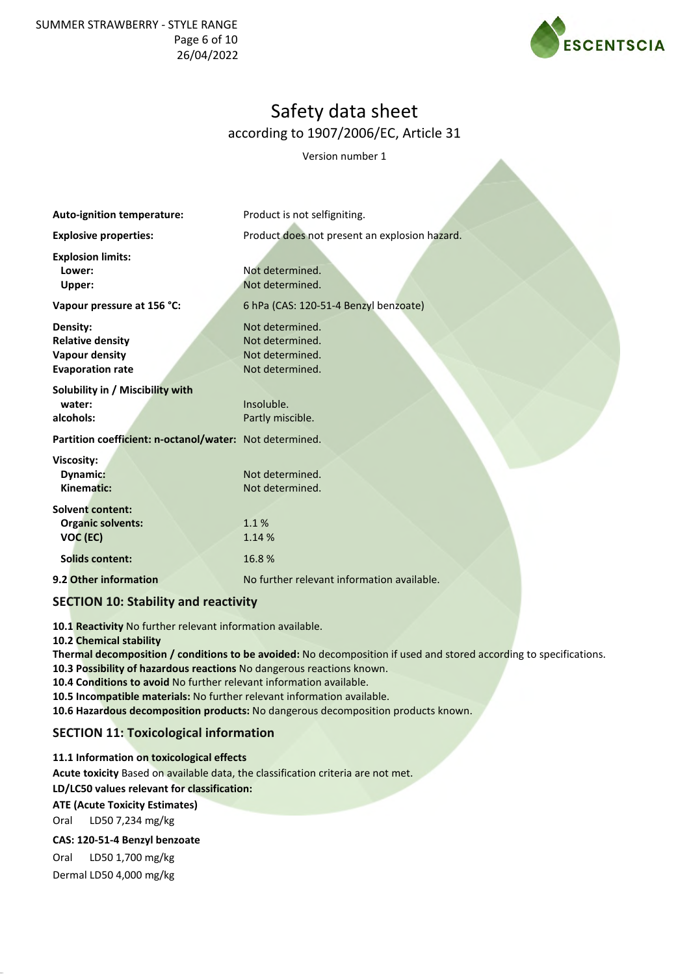SUMMER STRAWBERRY - STYLE RANGE Page 6 of 10 26/04/2022



# Safety data sheet according to 1907/2006/EC, Article 31

Version number 1

| Auto-ignition temperature:                                                              | Product is not selfigniting.                                             |  |  |  |
|-----------------------------------------------------------------------------------------|--------------------------------------------------------------------------|--|--|--|
| <b>Explosive properties:</b>                                                            | Product does not present an explosion hazard.                            |  |  |  |
| <b>Explosion limits:</b><br>Lower:<br>Upper:                                            | Not determined.<br>Not determined.                                       |  |  |  |
| Vapour pressure at 156 °C:                                                              | 6 hPa (CAS: 120-51-4 Benzyl benzoate)                                    |  |  |  |
| Density:<br><b>Relative density</b><br><b>Vapour density</b><br><b>Evaporation rate</b> | Not determined.<br>Not determined.<br>Not determined.<br>Not determined. |  |  |  |
| Solubility in / Miscibility with<br>water:<br>alcohols:                                 | Insoluble.<br>Partly miscible.                                           |  |  |  |
| Partition coefficient: n-octanol/water: Not determined.                                 |                                                                          |  |  |  |
| <b>Viscosity:</b><br><b>Dynamic:</b><br>Kinematic:                                      | Not determined.<br>Not determined.                                       |  |  |  |
| <b>Solvent content:</b><br><b>Organic solvents:</b><br>VOC (EC)                         | 1.1%<br>1.14 %                                                           |  |  |  |
| <b>Solids content:</b>                                                                  | 16.8%                                                                    |  |  |  |
| 9.2 Other information                                                                   | No further relevant information available.                               |  |  |  |
| <b>SECTION 10: Stability and reactivity</b>                                             |                                                                          |  |  |  |

**10.1 Reactivity** No further relevant information available.

#### **10.2 Chemical stability**

**Thermal decomposition / conditions to be avoided:** No decomposition if used and stored according to specifications.

**10.3 Possibility of hazardous reactions** No dangerous reactions known.

**10.4 Conditions to avoid** No further relevant information available.

**10.5 Incompatible materials:** No further relevant information available.

**10.6 Hazardous decomposition products:** No dangerous decomposition products known.

# **SECTION 11: Toxicological information**

**11.1 Information on toxicological effects Acute toxicity** Based on available data, the classification criteria are not met. **LD/LC50 values relevant for classification: ATE (Acute Toxicity Estimates)** Oral LD50 7,234 mg/kg

### **CAS: 120-51-4 Benzyl benzoate**

Oral LD50 1,700 mg/kg Dermal LD50 4,000 mg/kg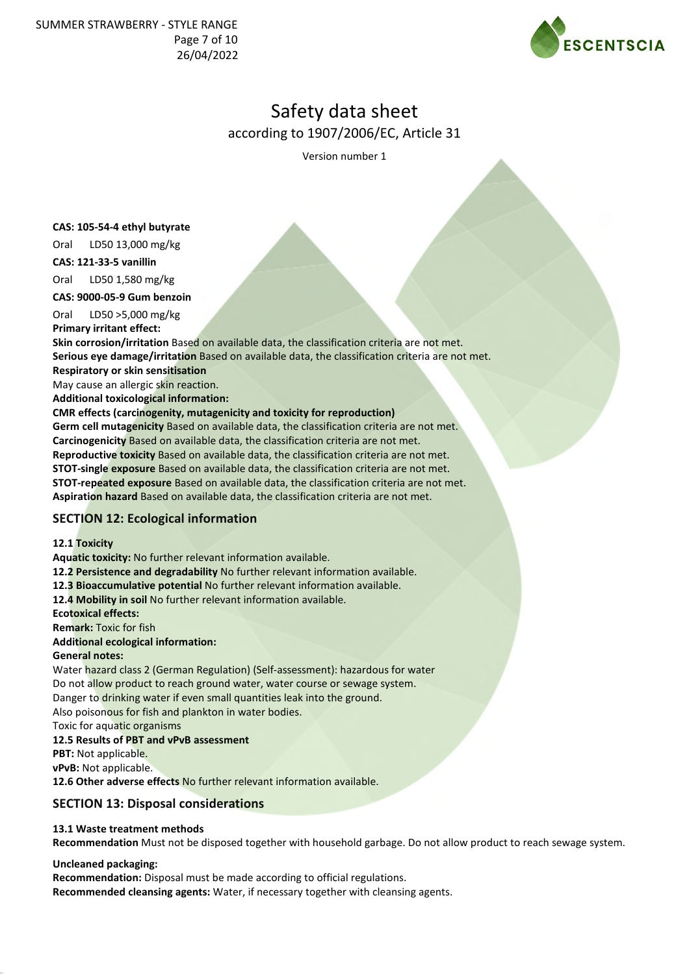

Version number 1

### **CAS: 105-54-4 ethyl butyrate**

Oral LD50 13,000 mg/kg

**CAS: 121-33-5 vanillin**

Oral LD50 1,580 mg/kg

**CAS: 9000-05-9 Gum benzoin**

Oral LD50 >5,000 mg/kg **Primary irritant effect:**

**Skin corrosion/irritation** Based on available data, the classification criteria are not met. **Serious eye damage/irritation** Based on available data, the classification criteria are not met.

**Respiratory or skin sensitisation**

May cause an allergic skin reaction.

**Additional toxicological information:**

### **CMR effects (carcinogenity, mutagenicity and toxicity for reproduction)**

**Germ cell mutagenicity** Based on available data, the classification criteria are not met. **Carcinogenicity** Based on available data, the classification criteria are not met. **Reproductive toxicity** Based on available data, the classification criteria are not met. **STOT-single exposure** Based on available data, the classification criteria are not met. **STOT-repeated exposure** Based on available data, the classification criteria are not met. **Aspiration hazard** Based on available data, the classification criteria are not met.

# **SECTION 12: Ecological information**

## **12.1 Toxicity**

**Aquatic toxicity:** No further relevant information available.

**12.2 Persistence and degradability** No further relevant information available.

**12.3 Bioaccumulative potential** No further relevant information available.

**12.4 Mobility in soil** No further relevant information available.

**Ecotoxical effects:**

**Remark:** Toxic for fish

## **Additional ecological information:**

## **General notes:**

Water hazard class 2 (German Regulation) (Self-assessment): hazardous for water Do not allow product to reach ground water, water course or sewage system. Danger to drinking water if even small quantities leak into the ground. Also poisonous for fish and plankton in water bodies. Toxic for aquatic organisms

# **12.5 Results of PBT and vPvB assessment**

**PBT:** Not applicable.

**vPvB:** Not applicable.

**12.6 Other adverse effects** No further relevant information available.

# **SECTION 13: Disposal considerations**

## **13.1 Waste treatment methods**

**Recommendation** Must not be disposed together with household garbage. Do not allow product to reach sewage system.

## **Uncleaned packaging:**

**Recommendation:** Disposal must be made according to official regulations. **Recommended cleansing agents:** Water, if necessary together with cleansing agents.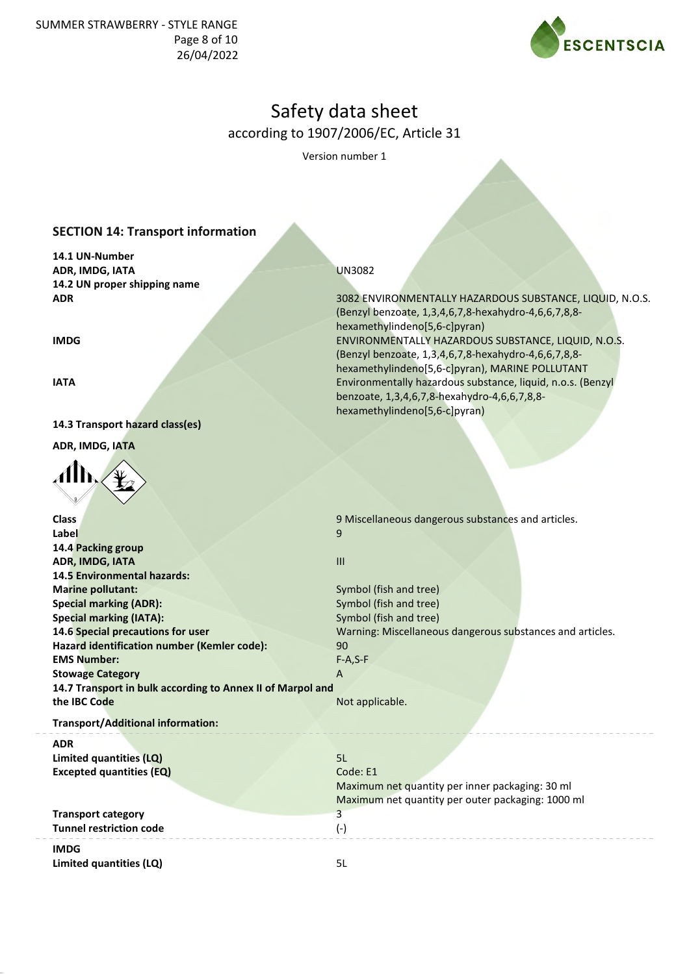SUMMER STRAWBERRY - STYLE RANGE Page 8 of 10 26/04/2022



# Safety data sheet according to 1907/2006/EC, Article 31

Version number 1

# **SECTION 14: Transport information**

**14.1 UN-Number ADR, IMDG, IATA 14.2 UN proper shipping name ADR**

**IMDG**

**IATA**

**Class Label**

**14.3 Transport hazard class(es)**

**ADR, IMDG, IATA**



**14.4 Packing group ADR, IMDG, IATA**

**Marine pollutant: Special marking (ADR): Special marking (IATA):**

**EMS Number: Stowage Category**

**the IBC Code**

**14.5 Environmental hazards:**

**14.6 Special precautions for user**

**Hazard identification number (Kemler code):**

**14.7 Transport in bulk according to Annex II of Marpol and**

### UN3082

3082 ENVIRONMENTALLY HAZARDOUS SUBSTANCE, LIQUID, N.O.S. (Benzyl benzoate, 1,3,4,6,7,8-hexahydro-4,6,6,7,8,8 hexamethylindeno[5,6-c]pyran) ENVIRONMENTALLY HAZARDOUS SUBSTANCE, LIQUID, N.O.S. (Benzyl benzoate, 1,3,4,6,7,8-hexahydro-4,6,6,7,8,8 hexamethylindeno[5,6-c]pyran), MARINE POLLUTANT Environmentally hazardous substance, liquid, n.o.s. (Benzyl benzoate, 1,3,4,6,7,8-hexahydro-4,6,6,7,8,8 hexamethylindeno[5,6-c]pyran)

9 Miscellaneous dangerous substances and articles. 9

III

Symbol (fish and tree) Symbol (fish and tree) Symbol (fish and tree) Warning: Miscellaneous dangerous substances and articles.  $90$ F-A,S-F

Maximum net quantity per inner packaging: 30 ml Maximum net quantity per outer packaging: 1000 ml

A

Not applicable.

**Transport/Additional information:**

#### **ADR**

**Limited quantities (LQ) Excepted quantities (EQ)**

**Transport category Tunnel restriction code**

**IMDG**

**Limited quantities (LQ)** 5L

3 (-)

5L Code: E1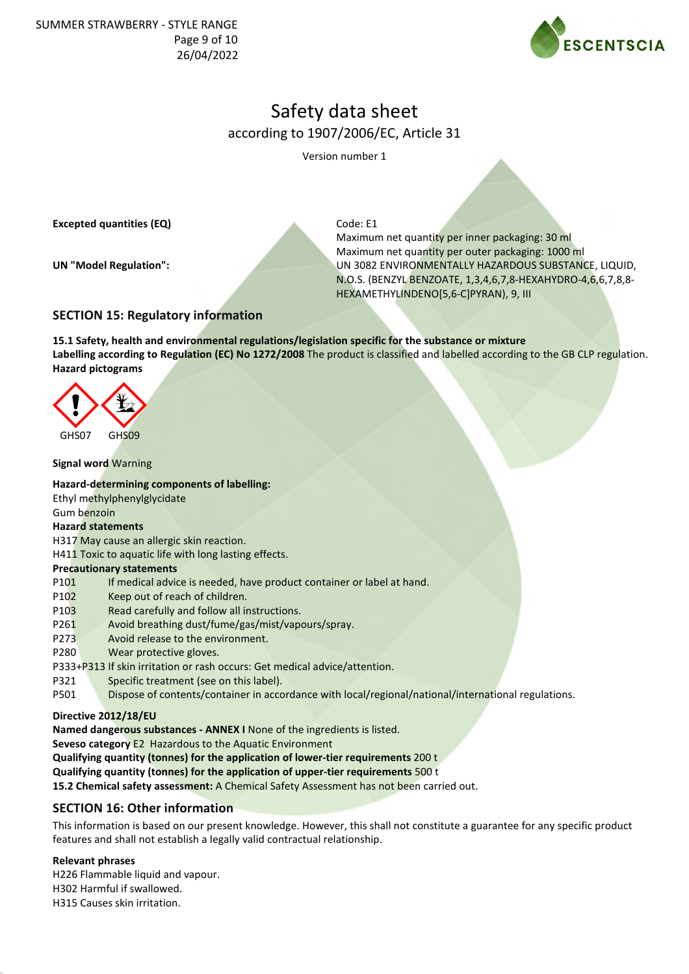SUMMER STRAWBERRY - STYLE RANGE Page 9 of 10 26/04/2022



# Safety data sheet according to 1907/2006/EC, Article 31

Version number 1

**Excepted quantities (EQ)**

**UN "Model Regulation":**

Code: E1

Maximum net quantity per inner packaging: 30 ml Maximum net quantity per outer packaging: 1000 ml UN 3082 ENVIRONMENTALLY HAZARDOUS SUBSTANCE, LIQUID, N.O.S. (BENZYL BENZOATE, 1,3,4,6,7,8-HEXAHYDRO-4,6,6,7,8,8- HEXAMETHYLINDENO[5,6-C]PYRAN), 9, III

## **SECTION 15: Regulatory information**

**15.1 Safety, health and environmental regulations/legislation specific for the substance or mixture Labelling according to Regulation (EC) No 1272/2008** The product is classified and labelled according to the GB CLP regulation. **Hazard pictograms**



### **Signal word** Warning

**Hazard-determining components of labelling:** Ethyl methylphenylglycidate

Gum benzoin

## **Hazard statements**

H317 May cause an allergic skin reaction.

H411 Toxic to aquatic life with long lasting effects.

### **Precautionary statements**

- P101 If medical advice is needed, have product container or label at hand.
- P102 Keep out of reach of children.
- P103 Read carefully and follow all instructions.
- P261 Avoid breathing dust/fume/gas/mist/vapours/spray.
- P273 Avoid release to the environment.
- P280 Wear protective gloves.
- P333+P313 If skin irritation or rash occurs: Get medical advice/attention.
- P321 Specific treatment (see on this label).
- P501 Dispose of contents/container in accordance with local/regional/national/international regulations.

## **Directive 2012/18/EU**

**Named dangerous substances - ANNEX I** None of the ingredients is listed. **Seveso category** E2 Hazardous to the Aquatic Environment

**Qualifying quantity (tonnes) for the application of lower-tier requirements** 200 t

**Qualifying quantity (tonnes) for the application of upper-tier requirements** 500 t

**15.2 Chemical safety assessment:** A Chemical Safety Assessment has not been carried out.

# **SECTION 16: Other information**

This information is based on our present knowledge. However, this shall not constitute a guarantee for any specific product features and shall not establish a legally valid contractual relationship.

### **Relevant phrases**

H226 Flammable liquid and vapour. H302 Harmful if swallowed. H315 Causes skin irritation.